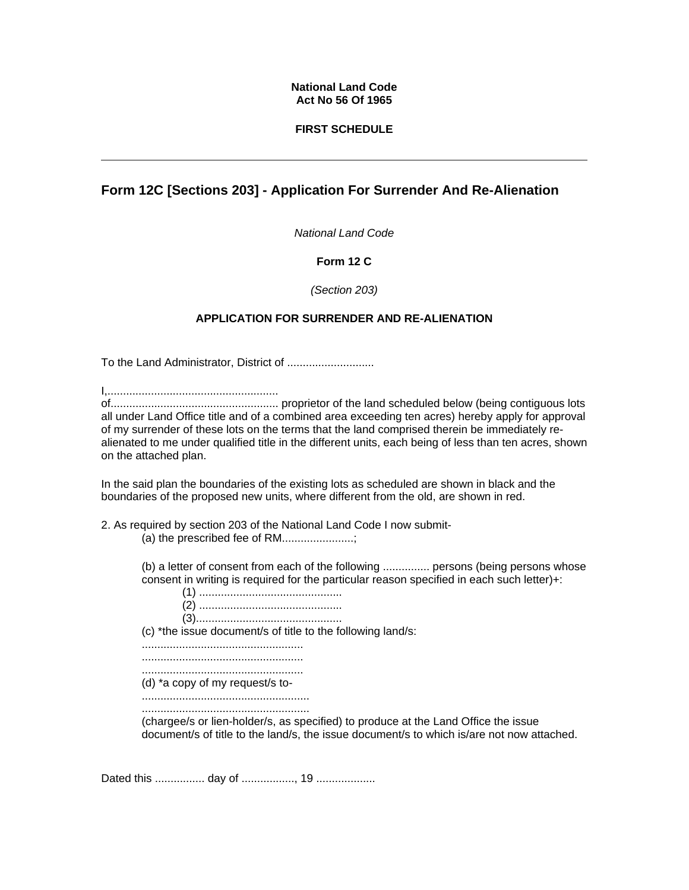# **National Land Code Act No 56 Of 1965**

# **FIRST SCHEDULE**

# **Form 12C [Sections 203] - Application For Surrender And Re-Alienation**

*National Land Code*

# **Form 12 C**

### *(Section 203)*

# **APPLICATION FOR SURRENDER AND RE-ALIENATION**

To the Land Administrator, District of ............................

I,.......................................................

of...................................................... proprietor of the land scheduled below (being contiguous lots all under Land Office title and of a combined area exceeding ten acres) hereby apply for approval of my surrender of these lots on the terms that the land comprised therein be immediately realienated to me under qualified title in the different units, each being of less than ten acres, shown on the attached plan.

In the said plan the boundaries of the existing lots as scheduled are shown in black and the boundaries of the proposed new units, where different from the old, are shown in red.

2. As required by section 203 of the National Land Code I now submit-

(a) the prescribed fee of RM.......................;

(b) a letter of consent from each of the following ............... persons (being persons whose consent in writing is required for the particular reason specified in each such letter)+:

(1) .............................................. (2) .............................................. (3)............................................... (c) \*the issue document/s of title to the following land/s: .................................................... .................................................... .................................................... (d) \*a copy of my request/s to- ...................................................... ......................................................

(chargee/s or lien-holder/s, as specified) to produce at the Land Office the issue document/s of title to the land/s, the issue document/s to which is/are not now attached.

Dated this ................ day of ................., 19 ...................